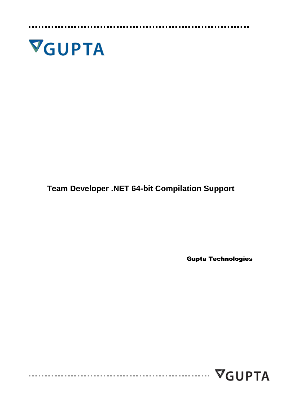

**Team Developer .NET 64-bit Compilation Support**

Gupta Technologies

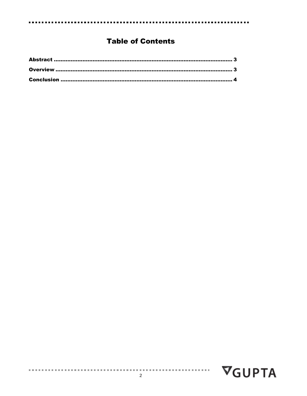### **Table of Contents**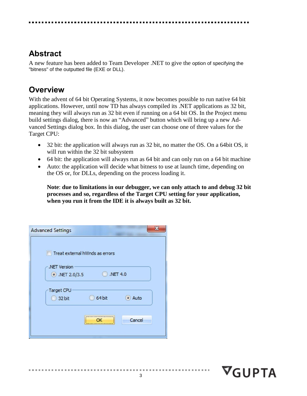## <span id="page-2-0"></span>**Abstract**

A new feature has been added to Team Developer .NET to give the option of specifying the "bitness" of the outputted file (EXE or DLL).

## <span id="page-2-1"></span>**Overview**

With the advent of 64 bit Operating Systems, it now becomes possible to run native 64 bit applications. However, until now TD has always compiled its .NET applications as 32 bit, meaning they will always run as 32 bit even if running on a 64 bit OS. In the Project menu build settings dialog, there is now an "Advanced" button which will bring up a new Advanced Settings dialog box. In this dialog, the user can choose one of three values for the Target CPU:

- 32 bit: the application will always run as 32 bit, no matter the OS. On a 64bit OS, it will run within the 32 bit subsystem
- 64 bit: the application will always run as 64 bit and can only run on a 64 bit machine
- Auto: the application will decide what bitness to use at launch time, depending on the OS or, for DLLs, depending on the process loading it.

**Note**: **due to limitations in our debugger, we can only attach to and debug 32 bit processes and so, regardless of the Target CPU setting for your application, when you run it from the IDE it is always built as 32 bit.**

| <b>Advanced Settings</b>             |                                                                          |          |
|--------------------------------------|--------------------------------------------------------------------------|----------|
| .NET Version<br>$\odot$ .NET 2.0/3.5 | Treat external hWnds as errors                                           | .NET 4.0 |
| <b>Target CPU</b><br>32 bit          | 64 bit                                                                   | Auto     |
|                                      | ,,,,,,,,,,,,,,,,,,,,,,,,,,,,,,,,,,,,,<br>******************************* | Cancel   |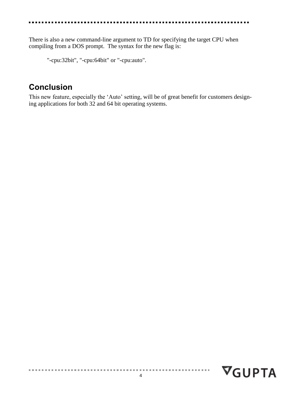There is also a new command-line argument to TD for specifying the target CPU when compiling from a DOS prompt. The syntax for the new flag is:

"-cpu:32bit", "-cpu:64bit" or "-cpu:auto".

### <span id="page-3-0"></span>**Conclusion**

This new feature, especially the 'Auto' setting, will be of great benefit for customers designing applications for both 32 and 64 bit operating systems.

4

. . . . . . . . . . . . .

 $\nabla$ GUPTA

 $\alpha$  is a set of  $\alpha$  in